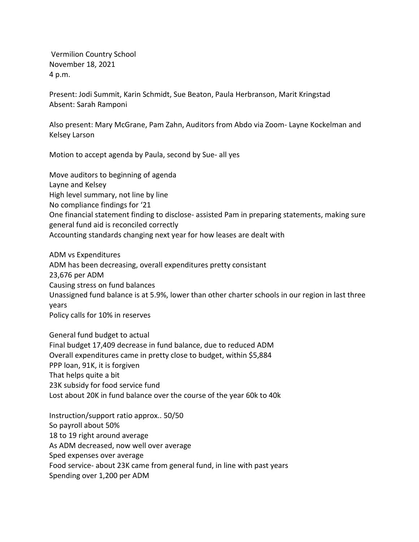Vermilion Country School November 18, 2021 4 p.m.

Present: Jodi Summit, Karin Schmidt, Sue Beaton, Paula Herbranson, Marit Kringstad Absent: Sarah Ramponi

Also present: Mary McGrane, Pam Zahn, Auditors from Abdo via Zoom- Layne Kockelman and Kelsey Larson

Motion to accept agenda by Paula, second by Sue- all yes

Move auditors to beginning of agenda Layne and Kelsey High level summary, not line by line No compliance findings for '21 One financial statement finding to disclose- assisted Pam in preparing statements, making sure general fund aid is reconciled correctly Accounting standards changing next year for how leases are dealt with

ADM vs Expenditures ADM has been decreasing, overall expenditures pretty consistant 23,676 per ADM Causing stress on fund balances Unassigned fund balance is at 5.9%, lower than other charter schools in our region in last three years Policy calls for 10% in reserves

General fund budget to actual Final budget 17,409 decrease in fund balance, due to reduced ADM Overall expenditures came in pretty close to budget, within \$5,884 PPP loan, 91K, it is forgiven That helps quite a bit 23K subsidy for food service fund Lost about 20K in fund balance over the course of the year 60k to 40k

Instruction/support ratio approx.. 50/50 So payroll about 50% 18 to 19 right around average As ADM decreased, now well over average Sped expenses over average Food service- about 23K came from general fund, in line with past years Spending over 1,200 per ADM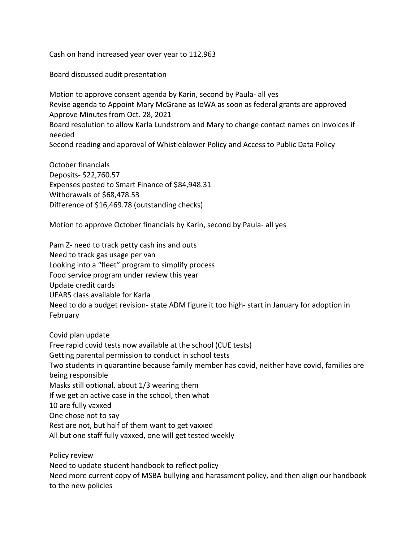Cash on hand increased year over year to 112,963

Board discussed audit presentation

Motion to approve consent agenda by Karin, second by Paula- all yes Revise agenda to Appoint Mary McGrane as IoWA as soon as federal grants are approved Approve Minutes from Oct. 28, 2021 Board resolution to allow Karla Lundstrom and Mary to change contact names on invoices if needed Second reading and approval of Whistleblower Policy and Access to Public Data Policy

October financials Deposits- \$22,760.57 Expenses posted to Smart Finance of \$84,948.31 Withdrawals of \$68,478.53 Difference of \$16,469.78 (outstanding checks)

Motion to approve October financials by Karin, second by Paula- all yes

Pam Z- need to track petty cash ins and outs Need to track gas usage per van Looking into a "fleet" program to simplify process Food service program under review this year Update credit cards UFARS class available for Karla Need to do a budget revision- state ADM figure it too high- start in January for adoption in February

Covid plan update Free rapid covid tests now available at the school (CUE tests) Getting parental permission to conduct in school tests Two students in quarantine because family member has covid, neither have covid, families are being responsible Masks still optional, about 1/3 wearing them If we get an active case in the school, then what 10 are fully vaxxed One chose not to say Rest are not, but half of them want to get vaxxed All but one staff fully vaxxed, one will get tested weekly

Policy review Need to update student handbook to reflect policy Need more current copy of MSBA bullying and harassment policy, and then align our handbook to the new policies